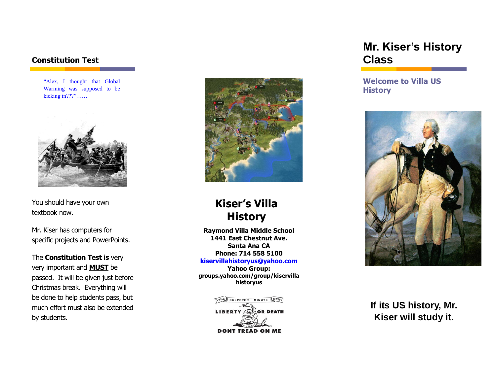### **Constitution Test**

"Alex, I thought that Global Warming was supposed to be kicking in???"……



You should have your own textbook now.

Mr. Kiser has computers for specific projects and PowerPoints.

The **Constitution Test is** very very important and **MUST** be passed. It will be given just before Christmas break. Everything will be done to help students pass, but much effort must also be extended by students.



# **Kiser's Villa History**

**Raymond Villa Middle School 1441 East Chestnut Ave. Santa Ana CA Phone: 714 558 5100**

**[kiservillahistoryus@yahoo.com](mailto:kiservillahistoryus@yahoo.com)**

**Yahoo Group: groups.yahoo.com/group/kiservilla historyus**



## **Mr. Kiser's History Class**

**Welcome to Villa US History**



**If its US history, Mr. Kiser will study it.**